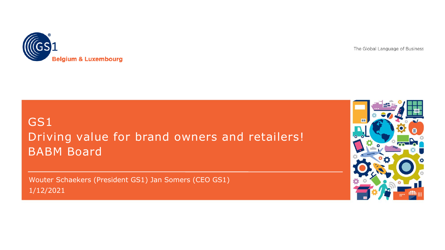

The Global Language of Business

### GS1 Driving value for brand owners and retailers! BABM Board

Wouter Schaekers (President GS1) Jan Somers (CEO GS1) 1/12/2021

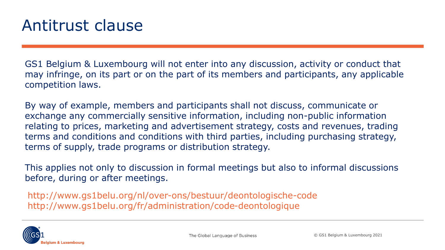GS1 Belgium & Luxembourg will not enter into any discussion, activity or conduct that may infringe, on its part or on the part of its members and participants, any applicable competition laws.

By way of example, members and participants shall not discuss, communicate or exchange any commercially sensitive information, including non-public information relating to prices, marketing and advertisement strategy, costs and revenues, trading terms and conditions and conditions with third parties, including purchasing strategy, terms of supply, trade programs or distribution strategy.

This applies not only to discussion in formal meetings but also to informal discussions before, during or after meetings.

http://www.gs1belu.org/nl/over-ons/bestuur/deontologische-code http://www.gs1belu.org/fr/administration/code-deontologique

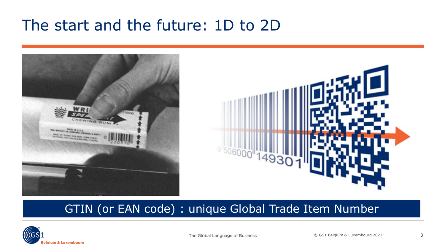# The start and the future: 1D to 2D



#### GTIN (or EAN code) : unique Global Trade Item Number

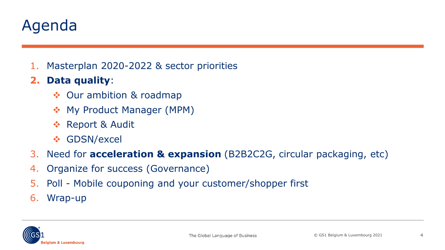# Agenda

1. Masterplan 2020-2022 & sector priorities

#### **2. Data quality**:

- ❖ Our ambition & roadmap
- ❖ My Product Manager (MPM)
- ❖ Report & Audit
- ❖ GDSN/excel
- 3. Need for **acceleration & expansion** (B2B2C2G, circular packaging, etc)
- 4. Organize for success (Governance)
- 5. Poll Mobile couponing and your customer/shopper first
- 6. Wrap-up

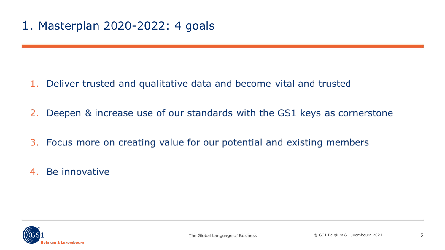- 1. Deliver trusted and qualitative data and become vital and trusted
- 2. Deepen & increase use of our standards with the GS1 keys as cornerstone
- 3. Focus more on creating value for our potential and existing members
- 4. Be innovative

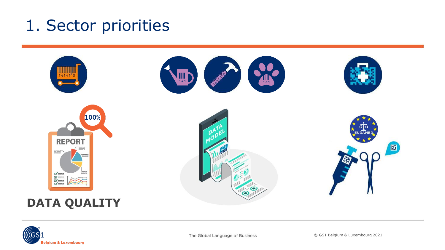# 1. Sector priorities



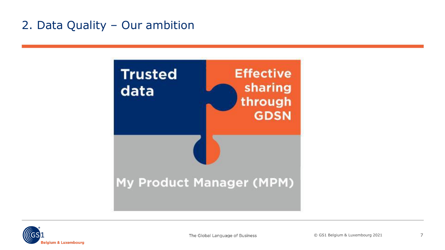### 2. Data Quality – Our ambition



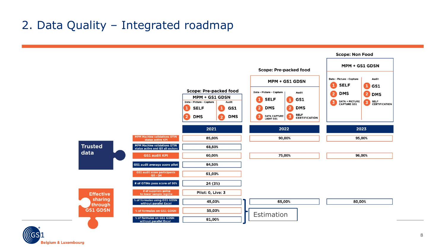#### 2. Data Quality – Integrated roadmap

elgium & Luxembourg



**Scope: Non Food**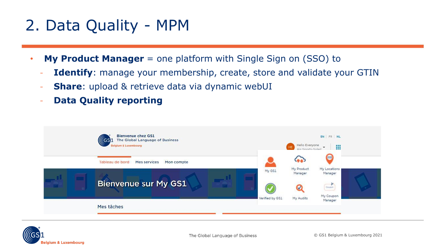# 2. Data Quality - MPM

- **My Product Manager** = one platform with Single Sign on (SSO) to
	- **Identify**: manage your membership, create, store and validate your GTIN
	- **Share**: upload & retrieve data via dynamic webUI
	- **Data Quality reporting**



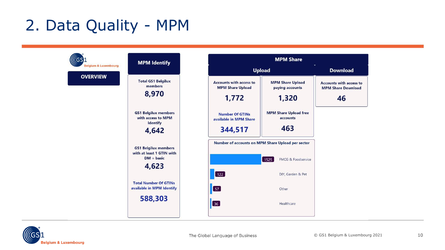# 2. Data Quality - MPM



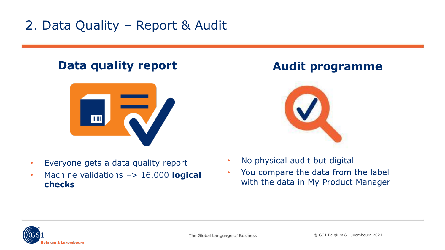## 2. Data Quality – Report & Audit

### **Data quality report**



- Everyone gets a data quality report
- Machine validations –> 16,000 **logical checks**

### **Audit programme**



- No physical audit but digital
- You compare the data from the label with the data in My Product Manager

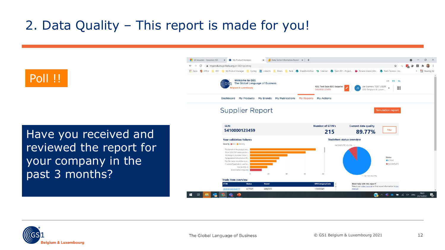## 2. Data Quality – This report is made for you!



Have you received and reviewed the report for your company in the past 3 months?



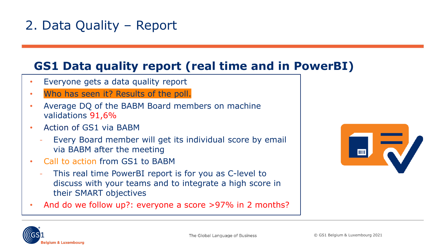## 2. Data Quality – Report

#### **GS1 Data quality report (real time and in PowerBI)**

- Everyone gets a data quality report
- Who has seen it? Results of the poll.
- Average DQ of the BABM Board members on machine validations 91,6%
- Action of GS1 via BABM
	- Every Board member will get its individual score by email via BABM after the meeting
- Call to action from GS1 to BABM
	- This real time PowerBI report is for you as C-level to discuss with your teams and to integrate a high score in their SMART objectives
- And do we follow up?: everyone a score >97% in 2 months?



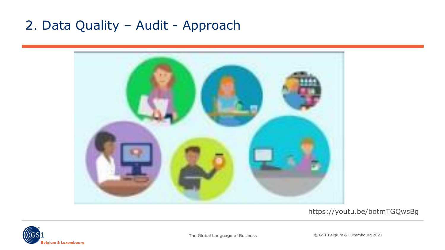## 2. Data Quality – Audit - Approach



#### https://youtu.be/botmTGQwsBg

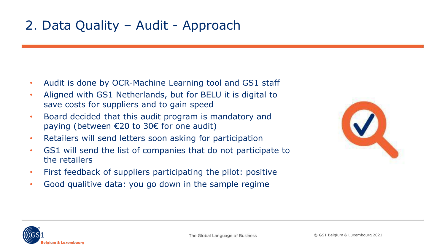## 2. Data Quality – Audit - Approach

- Audit is done by OCR-Machine Learning tool and GS1 staff
- Aligned with GS1 Netherlands, but for BELU it is digital to save costs for suppliers and to gain speed
- Board decided that this audit program is mandatory and paying (between €20 to 30€ for one audit)
- Retailers will send letters soon asking for participation
- GS1 will send the list of companies that do not participate to the retailers
- First feedback of suppliers participating the pilot: positive
- Good qualitive data: you go down in the sample regime

| ш |   |        |
|---|---|--------|
|   | ÷ |        |
|   |   | z<br>W |

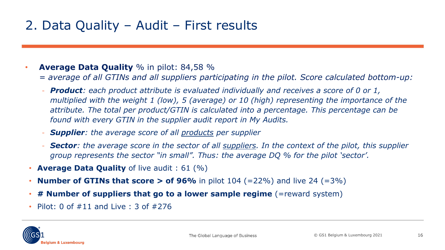## 2. Data Quality – Audit – First results

#### • **Average Data Quality** % in pilot: 84,58 %

- *= average of all GTINs and all suppliers participating in the pilot. Score calculated bottom-up:*
- *Product: each product attribute is evaluated individually and receives a score of 0 or 1, multiplied with the weight 1 (low), 5 (average) or 10 (high) representing the importance of the attribute. The total per product/GTIN is calculated into a percentage. This percentage can be found with every GTIN in the supplier audit report in My Audits.*
- *Supplier: the average score of all products per supplier*
- *Sector: the average score in the sector of all suppliers. In the context of the pilot, this supplier group represents the sector "in small". Thus: the average DQ % for the pilot 'sector'.*
- **Average Data Quality** of live audit : 61 (%)
- **Number of GTINs that score > of 96%** in pilot 104 (=22%) and live 24 (=3%)
- **# Number of suppliers that go to a lower sample regime** (=reward system)
- Pilot: 0 of  $\#11$  and Live : 3 of  $\#276$

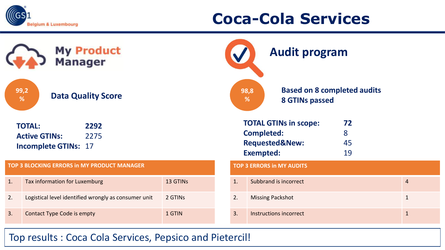

# **Coca-Cola Services**

| My Product<br>Manager                  |                                                                                      |          | <b>Audit program</b>                                              |                                                                                                    |                     |                |
|----------------------------------------|--------------------------------------------------------------------------------------|----------|-------------------------------------------------------------------|----------------------------------------------------------------------------------------------------|---------------------|----------------|
| 99,2<br><b>Data Quality Score</b><br>% |                                                                                      |          | <b>Based on 8 completed audits</b><br>98,8<br>%<br>8 GTINs passed |                                                                                                    |                     |                |
|                                        | <b>TOTAL:</b><br>2292<br><b>Active GTINs:</b><br>2275<br><b>Incomplete GTINs: 17</b> |          |                                                                   | <b>TOTAL GTINs in scope:</b><br><b>Completed:</b><br><b>Requested&amp;New:</b><br><b>Exempted:</b> | 72<br>8<br>45<br>19 |                |
|                                        | <b>TOP 3 BLOCKING ERRORS in MY PRODUCT MANAGER</b>                                   |          |                                                                   | <b>TOP 3 ERRORS in MY AUDITS</b>                                                                   |                     |                |
| 1.                                     | Tax information for Luxemburg                                                        | 13 GTINS | 1.                                                                | Subbrand is incorrect                                                                              |                     | $\overline{4}$ |
| 2.                                     | Logistical level identified wrongly as consumer unit                                 | 2 GTINS  | 2.                                                                | <b>Missing Packshot</b>                                                                            |                     | $\mathbf{1}$   |
| 3.                                     | Contact Type Code is empty                                                           | 1 GTIN   | 3.                                                                | Instructions incorrect                                                                             |                     | $\mathbf{1}$   |

#### Top results : Coca Cola Services, Pepsico and Pietercil!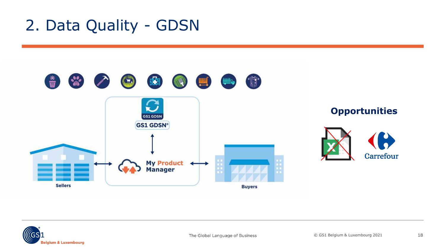# 2. Data Quality - GDSN



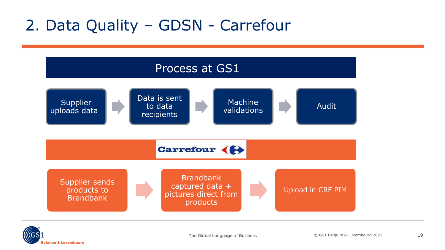# 2. Data Quality – GDSN - Carrefour



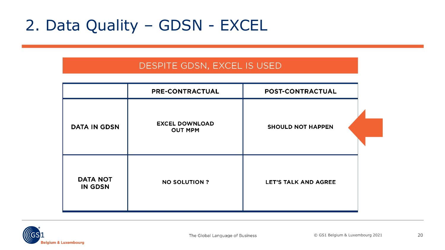# 2. Data Quality – GDSN - EXCEL

#### DESPITE GDSN, EXCEL IS USED

|                                   | PRE-CONTRACTUAL                         | POST-CONTRACTUAL            |  |
|-----------------------------------|-----------------------------------------|-----------------------------|--|
| <b>DATA IN GDSN</b>               | <b>EXCEL DOWNLOAD</b><br><b>OUT MPM</b> | <b>SHOULD NOT HAPPEN</b>    |  |
|                                   |                                         |                             |  |
| <b>DATA NOT</b><br><b>IN GDSN</b> | <b>NO SOLUTION ?</b>                    | <b>LET'S TALK AND AGREE</b> |  |

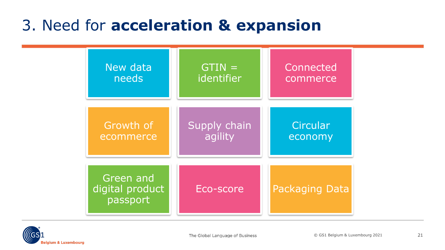# 3. Need for **acceleration & expansion**



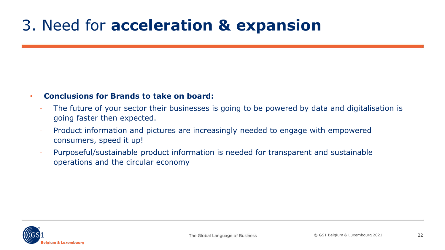# 3. Need for **acceleration & expansion**

#### • **Conclusions for Brands to take on board:**

- The future of your sector their businesses is going to be powered by data and digitalisation is going faster then expected.
- Product information and pictures are increasingly needed to engage with empowered consumers, speed it up!
- Purposeful/sustainable product information is needed for transparent and sustainable operations and the circular economy

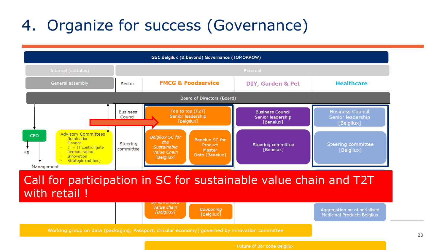# 4. Organize for success (Governance)

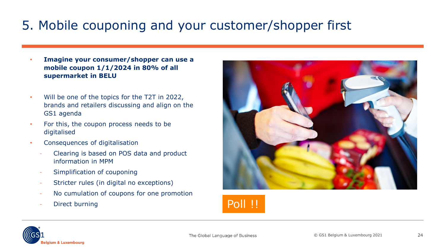## 5. Mobile couponing and your customer/shopper first

- **Imagine your consumer/shopper can use a mobile coupon 1/1/2024 in 80% of all supermarket in BELU**
- Will be one of the topics for the T2T in 2022, brands and retailers discussing and align on the GS1 agenda
- For this, the coupon process needs to be digitalised
- Consequences of digitalisation
	- Clearing is based on POS data and product information in MPM
	- Simplification of couponing
	- Stricter rules (in digital no exceptions)
	- No cumulation of coupons for one promotion
	- Direct burning **Poll !!**